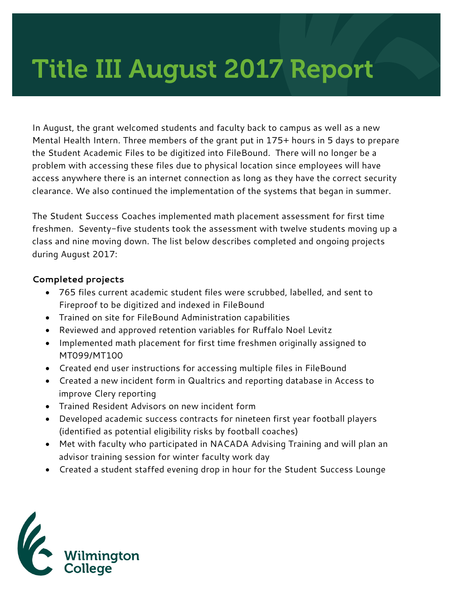# Title III August 2017 Report

In August, the grant welcomed students and faculty back to campus as well as a new Mental Health Intern. Three members of the grant put in 175+ hours in 5 days to prepare the Student Academic Files to be digitized into FileBound. There will no longer be a problem with accessing these files due to physical location since employees will have access anywhere there is an internet connection as long as they have the correct security clearance. We also continued the implementation of the systems that began in summer.

The Student Success Coaches implemented math placement assessment for first time freshmen. Seventy-five students took the assessment with twelve students moving up a class and nine moving down. The list below describes completed and ongoing projects during August 2017:

#### **Completed projects**

- 765 files current academic student files were scrubbed, labelled, and sent to Fireproof to be digitized and indexed in FileBound
- Trained on site for FileBound Administration capabilities
- Reviewed and approved retention variables for Ruffalo Noel Levitz
- Implemented math placement for first time freshmen originally assigned to MT099/MT100
- Created end user instructions for accessing multiple files in FileBound
- Created a new incident form in Qualtrics and reporting database in Access to improve Clery reporting
- Trained Resident Advisors on new incident form
- Developed academic success contracts for nineteen first year football players (identified as potential eligibility risks by football coaches)
- Met with faculty who participated in NACADA Advising Training and will plan an advisor training session for winter faculty work day
- Created a student staffed evening drop in hour for the Student Success Lounge

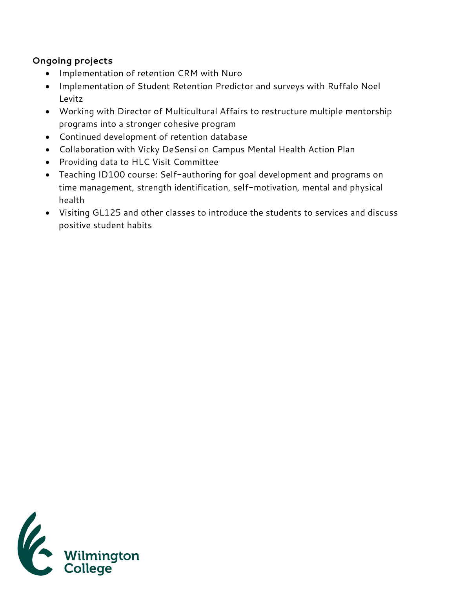# **Ongoing projects**

- Implementation of retention CRM with Nuro
- Implementation of Student Retention Predictor and surveys with Ruffalo Noel Levitz
- Working with Director of Multicultural Affairs to restructure multiple mentorship programs into a stronger cohesive program
- Continued development of retention database
- Collaboration with Vicky DeSensi on Campus Mental Health Action Plan
- Providing data to HLC Visit Committee
- Teaching ID100 course: Self-authoring for goal development and programs on time management, strength identification, self-motivation, mental and physical health
- Visiting GL125 and other classes to introduce the students to services and discuss positive student habits

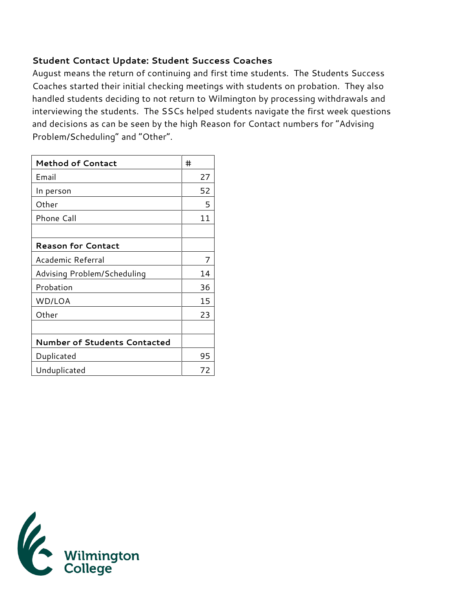# **Student Contact Update: Student Success Coaches**

August means the return of continuing and first time students. The Students Success Coaches started their initial checking meetings with students on probation. They also handled students deciding to not return to Wilmington by processing withdrawals and interviewing the students. The SSCs helped students navigate the first week questions and decisions as can be seen by the high Reason for Contact numbers for "Advising Problem/Scheduling" and "Other".

| <b>Method of Contact</b>            | #  |
|-------------------------------------|----|
| Email                               | 27 |
| In person                           | 52 |
| Other                               | 5  |
| <b>Phone Call</b>                   | 11 |
|                                     |    |
| <b>Reason for Contact</b>           |    |
| Academic Referral                   | 7  |
| Advising Problem/Scheduling         | 14 |
| Probation                           | 36 |
| WD/LOA                              | 15 |
| Other                               | 23 |
|                                     |    |
| <b>Number of Students Contacted</b> |    |
| Duplicated                          | 95 |
| Unduplicated                        | 72 |